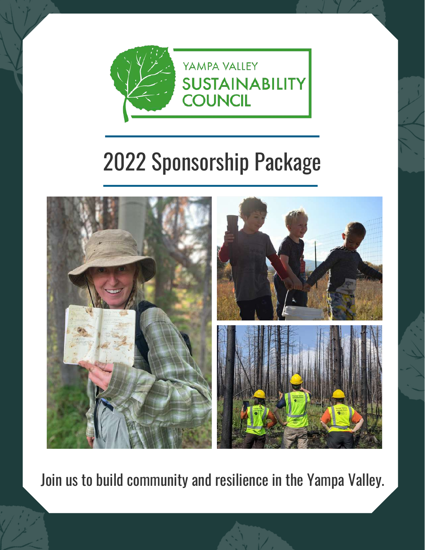

# 2022 Sponsorship Package



Join us to build community and resilience in the Yampa Valley.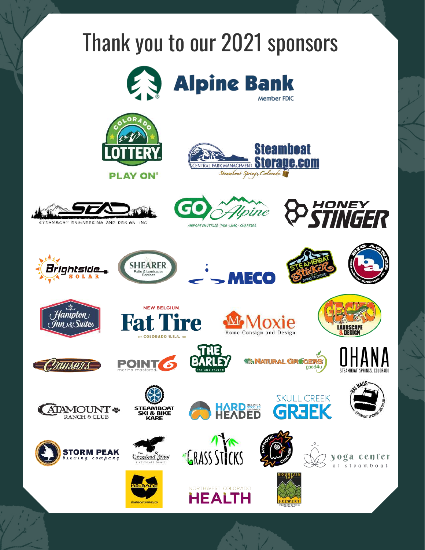# Thank you to our 2021 sponsors



**Alpine Bank** Member FDIC





















*ITULSENS* 





HARD **NARD** 





**AUS** 



**POINT** 











**HEALTH** 





**WANATURAL GRÚCERS** 

**SKULL CREEK** 

**GR3EK** 



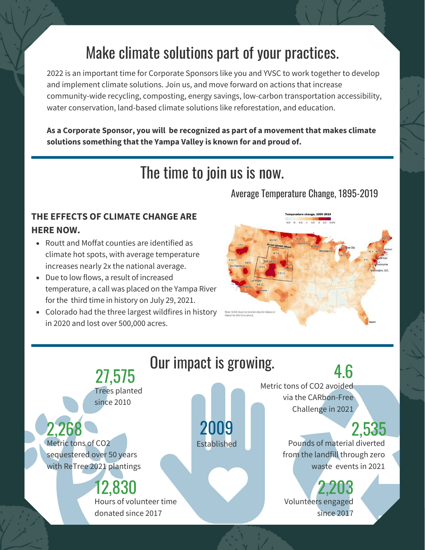### Make climate solutions part of your practices.

2022 is an important time for Corporate Sponsors like you and YVSC to work together to develop and implement climate solutions. Join us, and move forward on actions that increase community-wide recycling, composting, energy savings, low-carbon transportation accessibility, water conservation, land-based climate solutions like reforestation, and education.

**As a Corporate Sponsor, you will be recognized as part of a movement that makes climate solutions something that the Yampa Valley is known for and proud of.**

### The time to join us is now.

#### Average Temperature Change, 1895-2019

#### **THE EFFECTS OF CLIMATE CHANGE ARE HERE NOW.**

- Routt and Moffat counties are identified as climate hot spots, with average temperature increases nearly 2x the national average.
- Due to low flows, a result of increased temperature, a call was placed on the Yampa River for the third time in history on July 29, 2021.
- Colorado had the three largest wildfires in history in 2020 and lost over 500,000 acres.